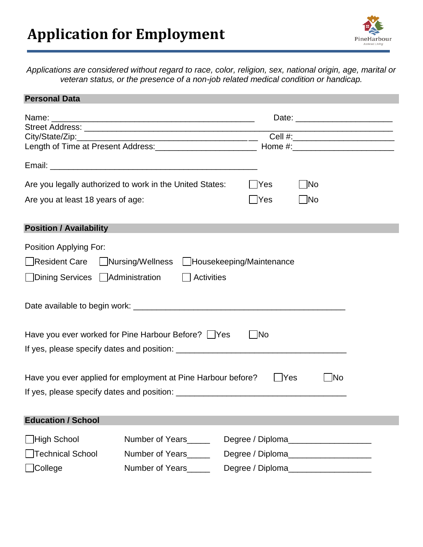

*Applications are considered without regard to race, color, religion, sex, national origin, age, marital or veteran status, or the presence of a non-job related medical condition or handicap.*

| <b>Personal Data</b>                                                                                 |                       |                                       |                                       |  |  |
|------------------------------------------------------------------------------------------------------|-----------------------|---------------------------------------|---------------------------------------|--|--|
| Name: Name:<br><u> 1989 - Johann John Stone, markin fizik eta idazlea (</u>                          |                       |                                       |                                       |  |  |
|                                                                                                      |                       |                                       | Cell #:___________________________    |  |  |
|                                                                                                      |                       |                                       |                                       |  |  |
|                                                                                                      |                       |                                       |                                       |  |  |
| Are you legally authorized to work in the United States:<br><b>PYes</b><br> No                       |                       |                                       |                                       |  |  |
| Are you at least 18 years of age:                                                                    |                       | Yes<br>- INo                          |                                       |  |  |
|                                                                                                      |                       |                                       |                                       |  |  |
| <b>Position / Availability</b>                                                                       |                       |                                       |                                       |  |  |
| Position Applying For:                                                                               |                       |                                       |                                       |  |  |
| Resident Care Nursing/Wellness<br>Housekeeping/Maintenance                                           |                       |                                       |                                       |  |  |
|                                                                                                      |                       |                                       |                                       |  |  |
| □Dining Services □ Administration                                                                    |                       | <b>Activities</b>                     |                                       |  |  |
|                                                                                                      |                       |                                       |                                       |  |  |
| Have you ever worked for Pine Harbour Before?   Yes<br>- No                                          |                       |                                       |                                       |  |  |
|                                                                                                      |                       |                                       |                                       |  |  |
|                                                                                                      |                       |                                       |                                       |  |  |
| $\overline{\phantom{a}}$ No<br>Have you ever applied for employment at Pine Harbour before?<br>  Yes |                       |                                       |                                       |  |  |
|                                                                                                      |                       |                                       |                                       |  |  |
|                                                                                                      |                       |                                       |                                       |  |  |
| <b>Education / School</b>                                                                            |                       |                                       |                                       |  |  |
| ∐High School                                                                                         | Number of Years______ | Degree / Diploma_____________________ |                                       |  |  |
| <b>Technical School</b>                                                                              | Number of Years       |                                       | Degree / Diploma_____________________ |  |  |
| College                                                                                              | Number of Years_____  | Degree / Diploma___________________   |                                       |  |  |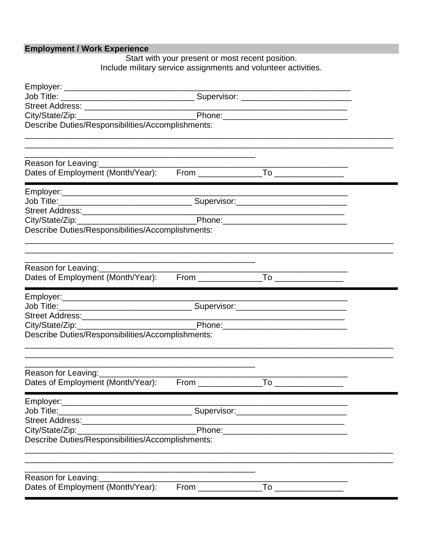Employment / Work Experience<br>Start with your present or most recent position.<br>Include military service assignments and volunteer activities.

| Phone:                                            |                                                                                                                                                                                                                                |                                                                                                                                                                                                                                                                                                                                                     |  |  |
|---------------------------------------------------|--------------------------------------------------------------------------------------------------------------------------------------------------------------------------------------------------------------------------------|-----------------------------------------------------------------------------------------------------------------------------------------------------------------------------------------------------------------------------------------------------------------------------------------------------------------------------------------------------|--|--|
| Describe Duties/Responsibilities/Accomplishments: |                                                                                                                                                                                                                                |                                                                                                                                                                                                                                                                                                                                                     |  |  |
|                                                   |                                                                                                                                                                                                                                |                                                                                                                                                                                                                                                                                                                                                     |  |  |
| Reason for Leaving:                               |                                                                                                                                                                                                                                |                                                                                                                                                                                                                                                                                                                                                     |  |  |
|                                                   |                                                                                                                                                                                                                                |                                                                                                                                                                                                                                                                                                                                                     |  |  |
|                                                   |                                                                                                                                                                                                                                |                                                                                                                                                                                                                                                                                                                                                     |  |  |
|                                                   |                                                                                                                                                                                                                                |                                                                                                                                                                                                                                                                                                                                                     |  |  |
|                                                   |                                                                                                                                                                                                                                |                                                                                                                                                                                                                                                                                                                                                     |  |  |
| Describe Duties/Responsibilities/Accomplishments: |                                                                                                                                                                                                                                |                                                                                                                                                                                                                                                                                                                                                     |  |  |
|                                                   |                                                                                                                                                                                                                                |                                                                                                                                                                                                                                                                                                                                                     |  |  |
|                                                   |                                                                                                                                                                                                                                |                                                                                                                                                                                                                                                                                                                                                     |  |  |
| Reason for Leaving:                               |                                                                                                                                                                                                                                | $\overline{10}$                                                                                                                                                                                                                                                                                                                                     |  |  |
| Dates of Employment (Month/Year):                 |                                                                                                                                                                                                                                |                                                                                                                                                                                                                                                                                                                                                     |  |  |
|                                                   |                                                                                                                                                                                                                                |                                                                                                                                                                                                                                                                                                                                                     |  |  |
|                                                   |                                                                                                                                                                                                                                |                                                                                                                                                                                                                                                                                                                                                     |  |  |
|                                                   |                                                                                                                                                                                                                                |                                                                                                                                                                                                                                                                                                                                                     |  |  |
|                                                   |                                                                                                                                                                                                                                |                                                                                                                                                                                                                                                                                                                                                     |  |  |
| Describe Duties/Responsibilities/Accomplishments: |                                                                                                                                                                                                                                |                                                                                                                                                                                                                                                                                                                                                     |  |  |
|                                                   | <u> 1989 - Johann Stein, mars an deutscher Stein und der Stein und der Stein und der Stein und der Stein und der</u>                                                                                                           |                                                                                                                                                                                                                                                                                                                                                     |  |  |
| Reason for Leaving:                               |                                                                                                                                                                                                                                |                                                                                                                                                                                                                                                                                                                                                     |  |  |
| Dates of Employment (Month/Year):                 | From the control of the control of the control of the control of the control of the control of the control of the control of the control of the control of the control of the control of the control of the control of the con | To ___________________                                                                                                                                                                                                                                                                                                                              |  |  |
| Employer:_                                        |                                                                                                                                                                                                                                |                                                                                                                                                                                                                                                                                                                                                     |  |  |
|                                                   |                                                                                                                                                                                                                                |                                                                                                                                                                                                                                                                                                                                                     |  |  |
|                                                   |                                                                                                                                                                                                                                | <u> 1980 - Johann John Stone, mars et al. 1980 - John Stone, mars et al. 1980 - John Stone, mars et al. 1980 - Joh</u>                                                                                                                                                                                                                              |  |  |
| Describe Duties/Responsibilities/Accomplishments: |                                                                                                                                                                                                                                |                                                                                                                                                                                                                                                                                                                                                     |  |  |
|                                                   |                                                                                                                                                                                                                                |                                                                                                                                                                                                                                                                                                                                                     |  |  |
| Reason for Leaving:                               |                                                                                                                                                                                                                                |                                                                                                                                                                                                                                                                                                                                                     |  |  |
| Dates of Employment (Month/Year):                 | From                                                                                                                                                                                                                           | $\begin{picture}(150,10) \put(0,0){\line(1,0){10}} \put(15,0){\line(1,0){10}} \put(15,0){\line(1,0){10}} \put(15,0){\line(1,0){10}} \put(15,0){\line(1,0){10}} \put(15,0){\line(1,0){10}} \put(15,0){\line(1,0){10}} \put(15,0){\line(1,0){10}} \put(15,0){\line(1,0){10}} \put(15,0){\line(1,0){10}} \put(15,0){\line(1,0){10}} \put(15,0){\line($ |  |  |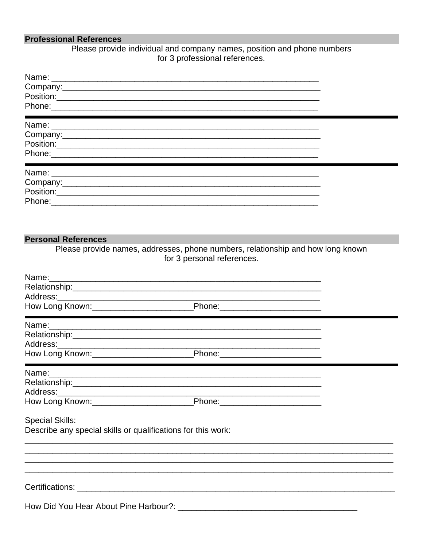## **Professional References**

Please provide individual and company names, position and phone numbers for 3 professional references.

| Phone: 2008 Phone: 2008 Phone: 2008 Phone: 2008 Phone: 2008 Phone: 2008 Phone: 2008 Phone: 2008 Phone: 2008 Phone: 2008 Phone: 2008 Phone: 2008 Phone: 2008 Phone: 2008 Phone: 2008 Phone: 2008 Phone: 2008 Phone: 2008 Phone:       |  |
|--------------------------------------------------------------------------------------------------------------------------------------------------------------------------------------------------------------------------------------|--|
| <u> Tanzania (h. 1888).</u>                                                                                                                                                                                                          |  |
|                                                                                                                                                                                                                                      |  |
|                                                                                                                                                                                                                                      |  |
|                                                                                                                                                                                                                                      |  |
|                                                                                                                                                                                                                                      |  |
| <u> The Communication of the Communication of the Communication of the Communication of the Communication of the Communication of the Communication of the Communication of the Communication of the Communication of the Commun</u> |  |
|                                                                                                                                                                                                                                      |  |
|                                                                                                                                                                                                                                      |  |
|                                                                                                                                                                                                                                      |  |
|                                                                                                                                                                                                                                      |  |

## **Personal References**

Please provide names, addresses, phone numbers, relationship and how long known for 3 personal references.

| Name:<br><u> 1989 - Jan Jan James, amerikan bahasa (j. 1989).</u>                      |  |  |
|----------------------------------------------------------------------------------------|--|--|
|                                                                                        |  |  |
|                                                                                        |  |  |
|                                                                                        |  |  |
|                                                                                        |  |  |
|                                                                                        |  |  |
|                                                                                        |  |  |
|                                                                                        |  |  |
|                                                                                        |  |  |
|                                                                                        |  |  |
|                                                                                        |  |  |
|                                                                                        |  |  |
| <b>Special Skills:</b><br>Describe any special skills or qualifications for this work: |  |  |
|                                                                                        |  |  |
|                                                                                        |  |  |
|                                                                                        |  |  |
|                                                                                        |  |  |